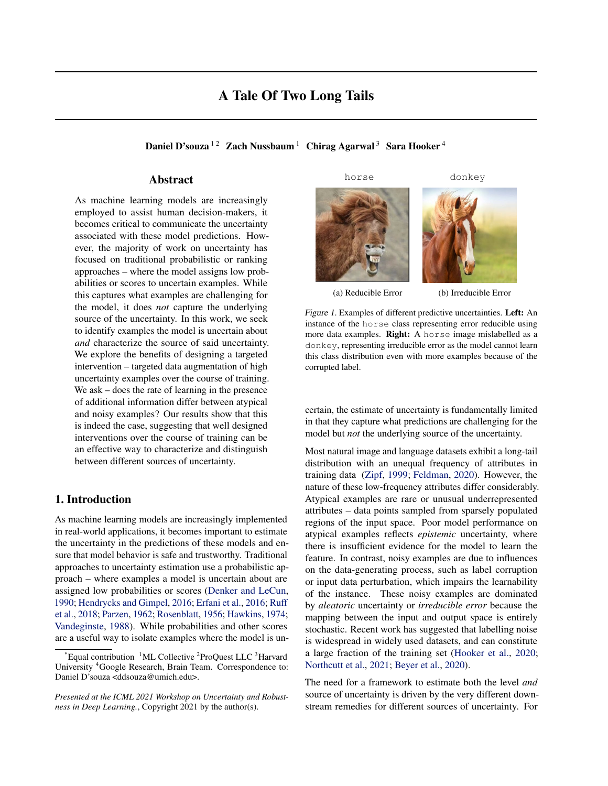# A Tale Of Two Long Tails

Daniel D'souza<sup>12</sup> Zach Nussbaum<sup>1</sup> Chirag Agarwal<sup>3</sup> Sara Hooker<sup>4</sup>

# Abstract

As machine learning models are increasingly employed to assist human decision-makers, it becomes critical to communicate the uncertainty associated with these model predictions. However, the majority of work on uncertainty has focused on traditional probabilistic or ranking approaches – where the model assigns low probabilities or scores to uncertain examples. While this captures what examples are challenging for the model, it does *not* capture the underlying source of the uncertainty. In this work, we seek to identify examples the model is uncertain about *and* characterize the source of said uncertainty. We explore the benefits of designing a targeted intervention – targeted data augmentation of high uncertainty examples over the course of training. We ask – does the rate of learning in the presence of additional information differ between atypical and noisy examples? Our results show that this is indeed the case, suggesting that well designed interventions over the course of training can be an effective way to characterize and distinguish between different sources of uncertainty.

# 1. Introduction

As machine learning models are increasingly implemented in real-world applications, it becomes important to estimate the uncertainty in the predictions of these models and ensure that model behavior is safe and trustworthy. Traditional approaches to uncertainty estimation use a probabilistic approach – where examples a model is uncertain about are assigned low probabilities or scores [\(Denker and LeCun,](#page-4-0) [1990;](#page-4-0) [Hendrycks and Gimpel,](#page-4-0) [2016;](#page-4-0) [Erfani et al.,](#page-4-0) [2016;](#page-4-0) [Ruff](#page-4-0) [et al.,](#page-4-0) [2018;](#page-4-0) [Parzen,](#page-4-0) [1962;](#page-4-0) [Rosenblatt,](#page-4-0) [1956;](#page-4-0) [Hawkins,](#page-4-0) [1974;](#page-4-0) [Vandeginste,](#page-5-0) [1988\)](#page-5-0). While probabilities and other scores are a useful way to isolate examples where the model is unhorse donkey





(a) Reducible Error (b) Irreducible Error

Figure 1. Examples of different predictive uncertainties. Left: An instance of the horse class representing error reducible using more data examples. Right: A horse image mislabelled as a donkey, representing irreducible error as the model cannot learn this class distribution even with more examples because of the corrupted label.

certain, the estimate of uncertainty is fundamentally limited in that they capture what predictions are challenging for the model but *not* the underlying source of the uncertainty.

Most natural image and language datasets exhibit a long-tail distribution with an unequal frequency of attributes in training data [\(Zipf,](#page-5-0) [1999;](#page-5-0) [Feldman,](#page-4-0) [2020\)](#page-4-0). However, the nature of these low-frequency attributes differ considerably. Atypical examples are rare or unusual underrepresented attributes – data points sampled from sparsely populated regions of the input space. Poor model performance on atypical examples reflects *epistemic* uncertainty, where there is insufficient evidence for the model to learn the feature. In contrast, noisy examples are due to influences on the data-generating process, such as label corruption or input data perturbation, which impairs the learnability of the instance. These noisy examples are dominated by *aleatoric* uncertainty or *irreducible error* because the mapping between the input and output space is entirely stochastic. Recent work has suggested that labelling noise is widespread in widely used datasets, and can constitute a large fraction of the training set [\(Hooker et al.,](#page-4-0) [2020;](#page-4-0) [Northcutt et al.,](#page-4-0) [2021;](#page-4-0) [Beyer et al.,](#page-4-0) [2020\)](#page-4-0).

The need for a framework to estimate both the level *and* source of uncertainty is driven by the very different downstream remedies for different sources of uncertainty. For

 $*$ Equal contribution  $1$ ML Collective  $2$ ProQuest LLC  $3$ Harvard University <sup>4</sup>Google Research, Brain Team. Correspondence to: Daniel D'souza <ddsouza@umich.edu>.

*Presented at the ICML 2021 Workshop on Uncertainty and Robustness in Deep Learning.*, Copyright 2021 by the author(s).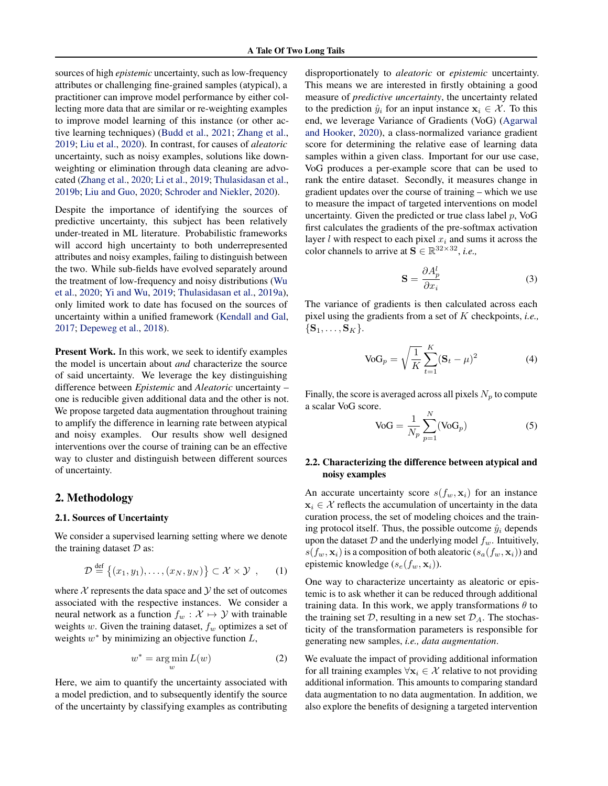sources of high *epistemic* uncertainty, such as low-frequency attributes or challenging fine-grained samples (atypical), a practitioner can improve model performance by either collecting more data that are similar or re-weighting examples to improve model learning of this instance (or other active learning techniques) [\(Budd et al.,](#page-4-0) [2021;](#page-4-0) [Zhang et al.,](#page-5-0) [2019;](#page-5-0) [Liu et al.,](#page-4-0) [2020\)](#page-4-0). In contrast, for causes of *aleatoric* uncertainty, such as noisy examples, solutions like downweighting or elimination through data cleaning are advocated [\(Zhang et al.,](#page-5-0) [2020;](#page-5-0) [Li et al.,](#page-4-0) [2019;](#page-4-0) [Thulasidasan et al.,](#page-5-0) [2019b;](#page-5-0) [Liu and Guo,](#page-4-0) [2020;](#page-4-0) [Schroder and Niekler,](#page-5-0) [2020\)](#page-5-0).

Despite the importance of identifying the sources of predictive uncertainty, this subject has been relatively under-treated in ML literature. Probabilistic frameworks will accord high uncertainty to both underrepresented attributes and noisy examples, failing to distinguish between the two. While sub-fields have evolved separately around the treatment of low-frequency and noisy distributions [\(Wu](#page-5-0) [et al.,](#page-5-0) [2020;](#page-5-0) [Yi and Wu,](#page-5-0) [2019;](#page-5-0) [Thulasidasan et al.,](#page-5-0) [2019a\)](#page-5-0), only limited work to date has focused on the sources of uncertainty within a unified framework [\(Kendall and Gal,](#page-4-0) [2017;](#page-4-0) [Depeweg et al.,](#page-4-0) [2018\)](#page-4-0).

Present Work. In this work, we seek to identify examples the model is uncertain about *and* characterize the source of said uncertainty. We leverage the key distinguishing difference between *Epistemic* and *Aleatoric* uncertainty – one is reducible given additional data and the other is not. We propose targeted data augmentation throughout training to amplify the difference in learning rate between atypical and noisy examples. Our results show well designed interventions over the course of training can be an effective way to cluster and distinguish between different sources of uncertainty.

### 2. Methodology

### 2.1. Sources of Uncertainty

We consider a supervised learning setting where we denote the training dataset  $D$  as:

$$
\mathcal{D} \stackrel{\text{def}}{=} \{(x_1, y_1), \dots, (x_N, y_N)\} \subset \mathcal{X} \times \mathcal{Y} \tag{1}
$$

where  $X$  represents the data space and  $Y$  the set of outcomes associated with the respective instances. We consider a neural network as a function  $f_w : \mathcal{X} \mapsto \mathcal{Y}$  with trainable weights w. Given the training dataset,  $f_w$  optimizes a set of weights  $w^*$  by minimizing an objective function  $L$ ,

$$
w^* = \underset{w}{\text{arg min}} L(w) \tag{2}
$$

Here, we aim to quantify the uncertainty associated with a model prediction, and to subsequently identify the source of the uncertainty by classifying examples as contributing disproportionately to *aleatoric* or *epistemic* uncertainty. This means we are interested in firstly obtaining a good measure of *predictive uncertainty*, the uncertainty related to the prediction  $\hat{y}_i$  for an input instance  $\mathbf{x}_i \in \mathcal{X}$ . To this end, we leverage Variance of Gradients (VoG) [\(Agarwal](#page-4-0) [and Hooker,](#page-4-0) [2020\)](#page-4-0), a class-normalized variance gradient score for determining the relative ease of learning data samples within a given class. Important for our use case, VoG produces a per-example score that can be used to rank the entire dataset. Secondly, it measures change in gradient updates over the course of training – which we use to measure the impact of targeted interventions on model uncertainty. Given the predicted or true class label  $p$ , VoG first calculates the gradients of the pre-softmax activation layer  $l$  with respect to each pixel  $x_i$  and sums it across the color channels to arrive at  $S \in \mathbb{R}^{32 \times 32}$ , *i.e.*,

$$
\mathbf{S} = \frac{\partial A_p^l}{\partial x_i} \tag{3}
$$

The variance of gradients is then calculated across each pixel using the gradients from a set of K checkpoints, *i.e.,*  $\{S_1, \ldots, S_K\}.$ 

$$
VoG_p = \sqrt{\frac{1}{K} \sum_{t=1}^{K} (S_t - \mu)^2}
$$
 (4)

Finally, the score is averaged across all pixels  $N_p$  to compute a scalar VoG score.

$$
V_0 G = \frac{1}{N_p} \sum_{p=1}^{N} (V_0 G_p)
$$
 (5)

# 2.2. Characterizing the difference between atypical and noisy examples

An accurate uncertainty score  $s(f_w, \mathbf{x}_i)$  for an instance  $x_i \in \mathcal{X}$  reflects the accumulation of uncertainty in the data curation process, the set of modeling choices and the training protocol itself. Thus, the possible outcome  $\hat{y}_i$  depends upon the dataset  $D$  and the underlying model  $f_w$ . Intuitively,  $s(f_w, \mathbf{x}_i)$  is a composition of both aleatoric  $(s_a(f_w, \mathbf{x}_i))$  and epistemic knowledge  $(s_e(f_w, \mathbf{x}_i))$ .

One way to characterize uncertainty as aleatoric or epistemic is to ask whether it can be reduced through additional training data. In this work, we apply transformations  $\theta$  to the training set D, resulting in a new set  $\mathcal{D}_A$ . The stochasticity of the transformation parameters is responsible for generating new samples, *i.e., data augmentation*.

We evaluate the impact of providing additional information for all training examples  $\forall x_i \in \mathcal{X}$  relative to not providing additional information. This amounts to comparing standard data augmentation to no data augmentation. In addition, we also explore the benefits of designing a targeted intervention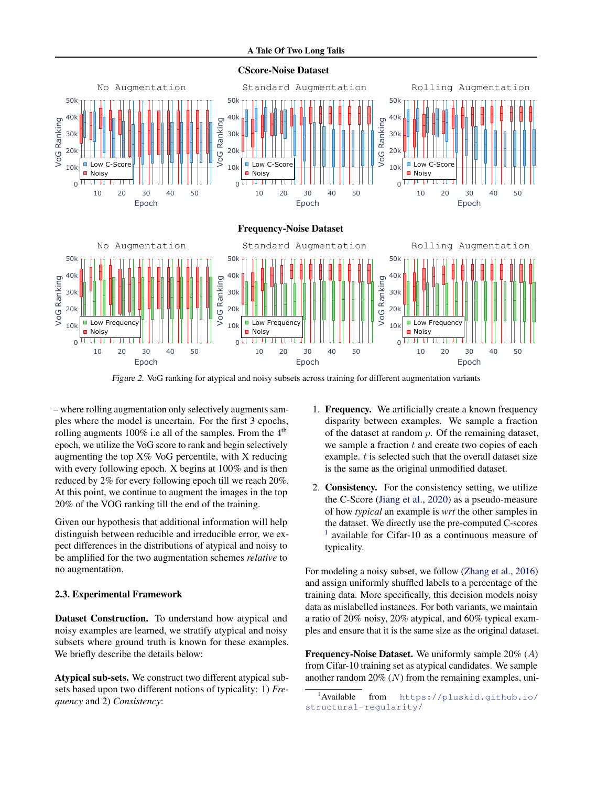#### A Tale Of Two Long Tails

<span id="page-2-0"></span>

Figure 2. VoG ranking for atypical and noisy subsets across training for different augmentation variants

– where rolling augmentation only selectively augments samples where the model is uncertain. For the first 3 epochs, rolling augments 100% i.e all of the samples. From the  $4<sup>th</sup>$ epoch, we utilize the VoG score to rank and begin selectively augmenting the top X% VoG percentile, with X reducing with every following epoch. X begins at 100% and is then reduced by 2% for every following epoch till we reach 20%. At this point, we continue to augment the images in the top 20% of the VOG ranking till the end of the training.

Given our hypothesis that additional information will help distinguish between reducible and irreducible error, we expect differences in the distributions of atypical and noisy to be amplified for the two augmentation schemes *relative* to no augmentation.

### 2.3. Experimental Framework

Dataset Construction. To understand how atypical and noisy examples are learned, we stratify atypical and noisy subsets where ground truth is known for these examples. We briefly describe the details below:

Atypical sub-sets. We construct two different atypical subsets based upon two different notions of typicality: 1) *Frequency* and 2) *Consistency*:

- 1. Frequency. We artificially create a known frequency disparity between examples. We sample a fraction of the dataset at random  $p$ . Of the remaining dataset, we sample a fraction  $t$  and create two copies of each example. t is selected such that the overall dataset size is the same as the original unmodified dataset.
- 2. Consistency. For the consistency setting, we utilize the C-Score [\(Jiang et al.,](#page-4-0) [2020\)](#page-4-0) as a pseudo-measure of how *typical* an example is *wrt* the other samples in the dataset. We directly use the pre-computed C-scores 1 available for Cifar-10 as a continuous measure of typicality.

For modeling a noisy subset, we follow [\(Zhang et al.,](#page-5-0) [2016\)](#page-5-0) and assign uniformly shuffled labels to a percentage of the training data. More specifically, this decision models noisy data as mislabelled instances. For both variants, we maintain a ratio of 20% noisy, 20% atypical, and 60% typical examples and ensure that it is the same size as the original dataset.

Frequency-Noise Dataset. We uniformly sample 20% (A) from Cifar-10 training set as atypical candidates. We sample another random  $20\%$  (N) from the remaining examples, uni-

<sup>1</sup>Available from [https://pluskid.github.io/](https://pluskid.github.io/structural-regularity/) [structural-regularity/](https://pluskid.github.io/structural-regularity/)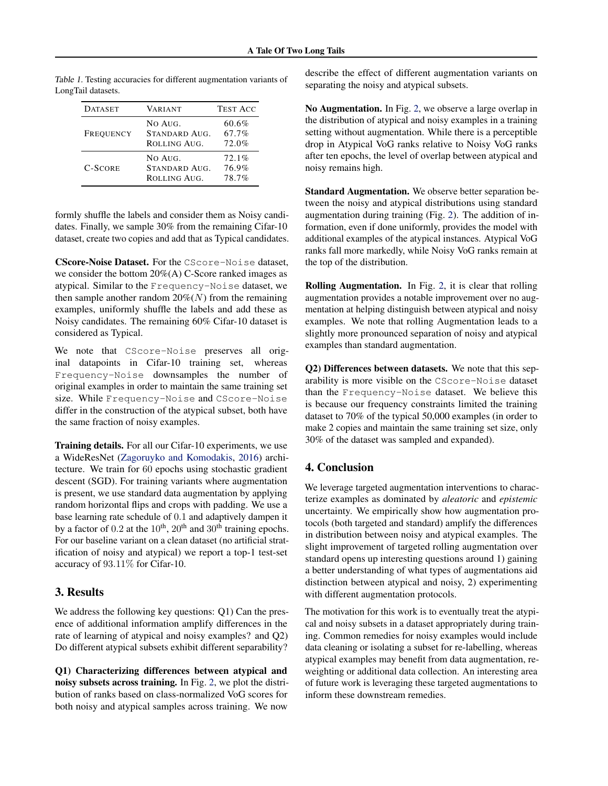| <b>DATASET</b> | <b>VARIANT</b>                           | <b>TEST ACC</b>         |
|----------------|------------------------------------------|-------------------------|
| FREQUENCY      | NO AUG.<br>STANDARD AUG.<br>ROLLING AUG. | 60.6%<br>67.7%<br>72.0% |
| <b>C-SCORE</b> | NO AUG.<br>STANDARD AUG.<br>ROLLING AUG. | 72.1%<br>76.9%<br>78.7% |

Table 1. Testing accuracies for different augmentation variants of LongTail datasets.

formly shuffle the labels and consider them as Noisy candidates. Finally, we sample 30% from the remaining Cifar-10 dataset, create two copies and add that as Typical candidates.

CScore-Noise Dataset. For the CScore-Noise dataset, we consider the bottom  $20\%$ (A) C-Score ranked images as atypical. Similar to the Frequency-Noise dataset, we then sample another random  $20\%(N)$  from the remaining examples, uniformly shuffle the labels and add these as Noisy candidates. The remaining 60% Cifar-10 dataset is considered as Typical.

We note that CScore-Noise preserves all original datapoints in Cifar-10 training set, whereas Frequency-Noise downsamples the number of original examples in order to maintain the same training set size. While Frequency-Noise and CScore-Noise differ in the construction of the atypical subset, both have the same fraction of noisy examples.

Training details. For all our Cifar-10 experiments, we use a WideResNet [\(Zagoruyko and Komodakis,](#page-5-0) [2016\)](#page-5-0) architecture. We train for 60 epochs using stochastic gradient descent (SGD). For training variants where augmentation is present, we use standard data augmentation by applying random horizontal flips and crops with padding. We use a base learning rate schedule of 0.1 and adaptively dampen it by a factor of  $0.2$  at the  $10<sup>th</sup>$ ,  $20<sup>th</sup>$  and  $30<sup>th</sup>$  training epochs. For our baseline variant on a clean dataset (no artificial stratification of noisy and atypical) we report a top-1 test-set accuracy of 93.11% for Cifar-10.

# 3. Results

We address the following key questions: Q1) Can the presence of additional information amplify differences in the rate of learning of atypical and noisy examples? and Q2) Do different atypical subsets exhibit different separability?

Q1) Characterizing differences between atypical and noisy subsets across training. In Fig. [2,](#page-2-0) we plot the distribution of ranks based on class-normalized VoG scores for both noisy and atypical samples across training. We now describe the effect of different augmentation variants on separating the noisy and atypical subsets.

No Augmentation. In Fig. [2,](#page-2-0) we observe a large overlap in the distribution of atypical and noisy examples in a training setting without augmentation. While there is a perceptible drop in Atypical VoG ranks relative to Noisy VoG ranks after ten epochs, the level of overlap between atypical and noisy remains high.

Standard Augmentation. We observe better separation between the noisy and atypical distributions using standard augmentation during training (Fig. [2\)](#page-2-0). The addition of information, even if done uniformly, provides the model with additional examples of the atypical instances. Atypical VoG ranks fall more markedly, while Noisy VoG ranks remain at the top of the distribution.

Rolling Augmentation. In Fig. [2,](#page-2-0) it is clear that rolling augmentation provides a notable improvement over no augmentation at helping distinguish between atypical and noisy examples. We note that rolling Augmentation leads to a slightly more pronounced separation of noisy and atypical examples than standard augmentation.

Q2) Differences between datasets. We note that this separability is more visible on the CScore-Noise dataset than the Frequency-Noise dataset. We believe this is because our frequency constraints limited the training dataset to 70% of the typical 50,000 examples (in order to make 2 copies and maintain the same training set size, only 30% of the dataset was sampled and expanded).

# 4. Conclusion

We leverage targeted augmentation interventions to characterize examples as dominated by *aleatoric* and *epistemic* uncertainty. We empirically show how augmentation protocols (both targeted and standard) amplify the differences in distribution between noisy and atypical examples. The slight improvement of targeted rolling augmentation over standard opens up interesting questions around 1) gaining a better understanding of what types of augmentations aid distinction between atypical and noisy, 2) experimenting with different augmentation protocols.

The motivation for this work is to eventually treat the atypical and noisy subsets in a dataset appropriately during training. Common remedies for noisy examples would include data cleaning or isolating a subset for re-labelling, whereas atypical examples may benefit from data augmentation, reweighting or additional data collection. An interesting area of future work is leveraging these targeted augmentations to inform these downstream remedies.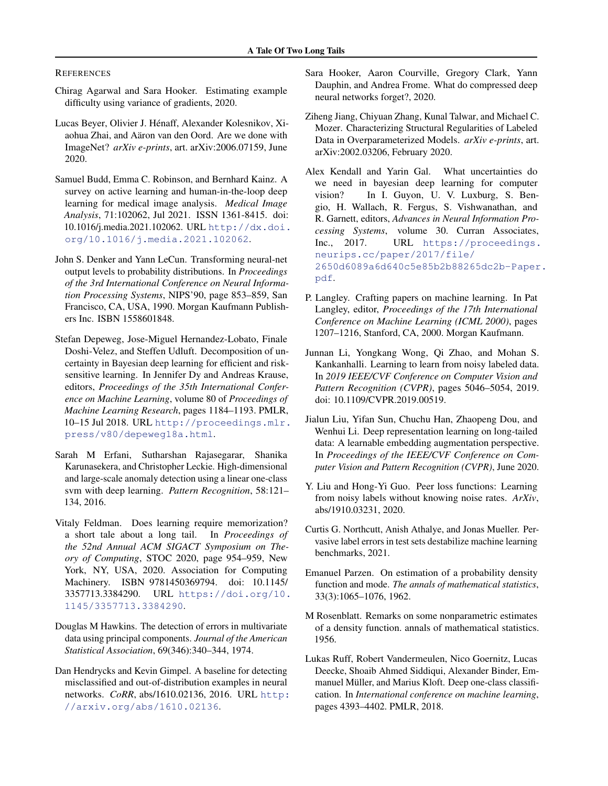#### <span id="page-4-0"></span>**REFERENCES**

- Chirag Agarwal and Sara Hooker. Estimating example difficulty using variance of gradients, 2020.
- Lucas Beyer, Olivier J. Hénaff, Alexander Kolesnikov, Xiaohua Zhai, and Aäron van den Oord. Are we done with ImageNet? *arXiv e-prints*, art. arXiv:2006.07159, June 2020.
- Samuel Budd, Emma C. Robinson, and Bernhard Kainz. A survey on active learning and human-in-the-loop deep learning for medical image analysis. *Medical Image Analysis*, 71:102062, Jul 2021. ISSN 1361-8415. doi: 10.1016/j.media.2021.102062. URL [http://dx.doi.](http://dx.doi.org/10.1016/j.media.2021.102062) [org/10.1016/j.media.2021.102062](http://dx.doi.org/10.1016/j.media.2021.102062).
- John S. Denker and Yann LeCun. Transforming neural-net output levels to probability distributions. In *Proceedings of the 3rd International Conference on Neural Information Processing Systems*, NIPS'90, page 853–859, San Francisco, CA, USA, 1990. Morgan Kaufmann Publishers Inc. ISBN 1558601848.
- Stefan Depeweg, Jose-Miguel Hernandez-Lobato, Finale Doshi-Velez, and Steffen Udluft. Decomposition of uncertainty in Bayesian deep learning for efficient and risksensitive learning. In Jennifer Dy and Andreas Krause, editors, *Proceedings of the 35th International Conference on Machine Learning*, volume 80 of *Proceedings of Machine Learning Research*, pages 1184–1193. PMLR, 10–15 Jul 2018. URL [http://proceedings.mlr.](http://proceedings.mlr.press/v80/depeweg18a.html) [press/v80/depeweg18a.html](http://proceedings.mlr.press/v80/depeweg18a.html).
- Sarah M Erfani, Sutharshan Rajasegarar, Shanika Karunasekera, and Christopher Leckie. High-dimensional and large-scale anomaly detection using a linear one-class svm with deep learning. *Pattern Recognition*, 58:121– 134, 2016.
- Vitaly Feldman. Does learning require memorization? a short tale about a long tail. In *Proceedings of the 52nd Annual ACM SIGACT Symposium on Theory of Computing*, STOC 2020, page 954–959, New York, NY, USA, 2020. Association for Computing Machinery. ISBN 9781450369794. doi: 10.1145/ 3357713.3384290. URL [https://doi.org/10.](https://doi.org/10.1145/3357713.3384290) [1145/3357713.3384290](https://doi.org/10.1145/3357713.3384290).
- Douglas M Hawkins. The detection of errors in multivariate data using principal components. *Journal of the American Statistical Association*, 69(346):340–344, 1974.
- Dan Hendrycks and Kevin Gimpel. A baseline for detecting misclassified and out-of-distribution examples in neural networks. *CoRR*, abs/1610.02136, 2016. URL [http:](http://arxiv.org/abs/1610.02136) [//arxiv.org/abs/1610.02136](http://arxiv.org/abs/1610.02136).
- Sara Hooker, Aaron Courville, Gregory Clark, Yann Dauphin, and Andrea Frome. What do compressed deep neural networks forget?, 2020.
- Ziheng Jiang, Chiyuan Zhang, Kunal Talwar, and Michael C. Mozer. Characterizing Structural Regularities of Labeled Data in Overparameterized Models. *arXiv e-prints*, art. arXiv:2002.03206, February 2020.
- Alex Kendall and Yarin Gal. What uncertainties do we need in bayesian deep learning for computer vision? In I. Guyon, U. V. Luxburg, S. Bengio, H. Wallach, R. Fergus, S. Vishwanathan, and R. Garnett, editors, *Advances in Neural Information Processing Systems*, volume 30. Curran Associates, Inc., 2017. URL [https://proceedings.](https://proceedings.neurips.cc/paper/2017/file/2650d6089a6d640c5e85b2b88265dc2b-Paper.pdf) [neurips.cc/paper/2017/file/](https://proceedings.neurips.cc/paper/2017/file/2650d6089a6d640c5e85b2b88265dc2b-Paper.pdf) [2650d6089a6d640c5e85b2b88265dc2b-Paper](https://proceedings.neurips.cc/paper/2017/file/2650d6089a6d640c5e85b2b88265dc2b-Paper.pdf). [pdf](https://proceedings.neurips.cc/paper/2017/file/2650d6089a6d640c5e85b2b88265dc2b-Paper.pdf).
- P. Langley. Crafting papers on machine learning. In Pat Langley, editor, *Proceedings of the 17th International Conference on Machine Learning (ICML 2000)*, pages 1207–1216, Stanford, CA, 2000. Morgan Kaufmann.
- Junnan Li, Yongkang Wong, Qi Zhao, and Mohan S. Kankanhalli. Learning to learn from noisy labeled data. In *2019 IEEE/CVF Conference on Computer Vision and Pattern Recognition (CVPR)*, pages 5046–5054, 2019. doi: 10.1109/CVPR.2019.00519.
- Jialun Liu, Yifan Sun, Chuchu Han, Zhaopeng Dou, and Wenhui Li. Deep representation learning on long-tailed data: A learnable embedding augmentation perspective. In *Proceedings of the IEEE/CVF Conference on Computer Vision and Pattern Recognition (CVPR)*, June 2020.
- Y. Liu and Hong-Yi Guo. Peer loss functions: Learning from noisy labels without knowing noise rates. *ArXiv*, abs/1910.03231, 2020.
- Curtis G. Northcutt, Anish Athalye, and Jonas Mueller. Pervasive label errors in test sets destabilize machine learning benchmarks, 2021.
- Emanuel Parzen. On estimation of a probability density function and mode. *The annals of mathematical statistics*, 33(3):1065–1076, 1962.
- M Rosenblatt. Remarks on some nonparametric estimates of a density function. annals of mathematical statistics. 1956.
- Lukas Ruff, Robert Vandermeulen, Nico Goernitz, Lucas Deecke, Shoaib Ahmed Siddiqui, Alexander Binder, Emmanuel Müller, and Marius Kloft. Deep one-class classification. In *International conference on machine learning*, pages 4393–4402. PMLR, 2018.